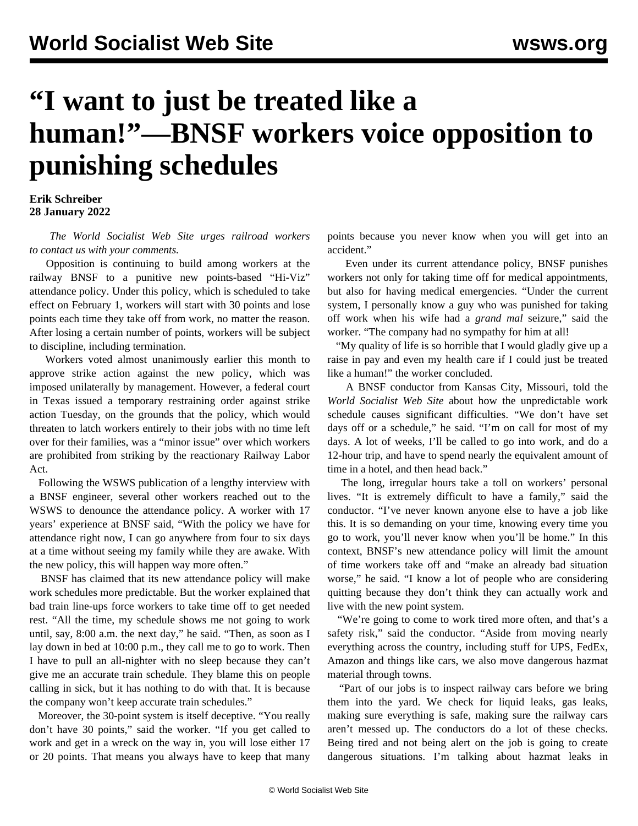## **"I want to just be treated like a human!"—BNSF workers voice opposition to punishing schedules**

**Erik Schreiber 28 January 2022**

 *The World Socialist Web Site urges railroad workers to [contact us with your comments](/en/special/pages/contact.html).*

 Opposition is continuing to build among workers at the railway BNSF to a punitive new points-based "Hi-Viz" attendance policy. Under this policy, which is scheduled to take effect on February 1, workers will start with 30 points and lose points each time they take off from work, no matter the reason. After losing a certain number of points, workers will be subject to discipline, including termination.

 Workers voted almost unanimously earlier this month to approve strike action against the new policy, which was imposed unilaterally by management. However, a federal court in Texas issued a temporary restraining order against strike action Tuesday, on the grounds that the policy, which would threaten to latch workers entirely to their jobs with no time left over for their families, was a "minor issue" over which workers are prohibited from striking by the reactionary Railway Labor Act.

 Following the WSWS publication of a lengthy interview with a BNSF engineer, several other workers reached out to the WSWS to denounce the attendance policy. A worker with 17 years' experience at BNSF said, "With the policy we have for attendance right now, I can go anywhere from four to six days at a time without seeing my family while they are awake. With the new policy, this will happen way more often."

 BNSF has claimed that its new attendance policy will make work schedules more predictable. But the worker explained that bad train line-ups force workers to take time off to get needed rest. "All the time, my schedule shows me not going to work until, say, 8:00 a.m. the next day," he said. "Then, as soon as I lay down in bed at 10:00 p.m., they call me to go to work. Then I have to pull an all-nighter with no sleep because they can't give me an accurate train schedule. They blame this on people calling in sick, but it has nothing to do with that. It is because the company won't keep accurate train schedules."

 Moreover, the 30-point system is itself deceptive. "You really don't have 30 points," said the worker. "If you get called to work and get in a wreck on the way in, you will lose either 17 or 20 points. That means you always have to keep that many points because you never know when you will get into an accident."

 Even under its current attendance policy, BNSF punishes workers not only for taking time off for medical appointments, but also for having medical emergencies. "Under the current system, I personally know a guy who was punished for taking off work when his wife had a *grand mal* seizure," said the worker. "The company had no sympathy for him at all!

 "My quality of life is so horrible that I would gladly give up a raise in pay and even my health care if I could just be treated like a human!" the worker concluded.

 A BNSF conductor from Kansas City, Missouri, told the *World Socialist Web Site* about how the unpredictable work schedule causes significant difficulties. "We don't have set days off or a schedule," he said. "I'm on call for most of my days. A lot of weeks, I'll be called to go into work, and do a 12-hour trip, and have to spend nearly the equivalent amount of time in a hotel, and then head back."

 The long, irregular hours take a toll on workers' personal lives. "It is extremely difficult to have a family," said the conductor. "I've never known anyone else to have a job like this. It is so demanding on your time, knowing every time you go to work, you'll never know when you'll be home." In this context, BNSF's new attendance policy will limit the amount of time workers take off and "make an already bad situation worse," he said. "I know a lot of people who are considering quitting because they don't think they can actually work and live with the new point system.

 "We're going to come to work tired more often, and that's a safety risk," said the conductor. "Aside from moving nearly everything across the country, including stuff for UPS, FedEx, Amazon and things like cars, we also move dangerous hazmat material through towns.

 "Part of our jobs is to inspect railway cars before we bring them into the yard. We check for liquid leaks, gas leaks, making sure everything is safe, making sure the railway cars aren't messed up. The conductors do a lot of these checks. Being tired and not being alert on the job is going to create dangerous situations. I'm talking about hazmat leaks in